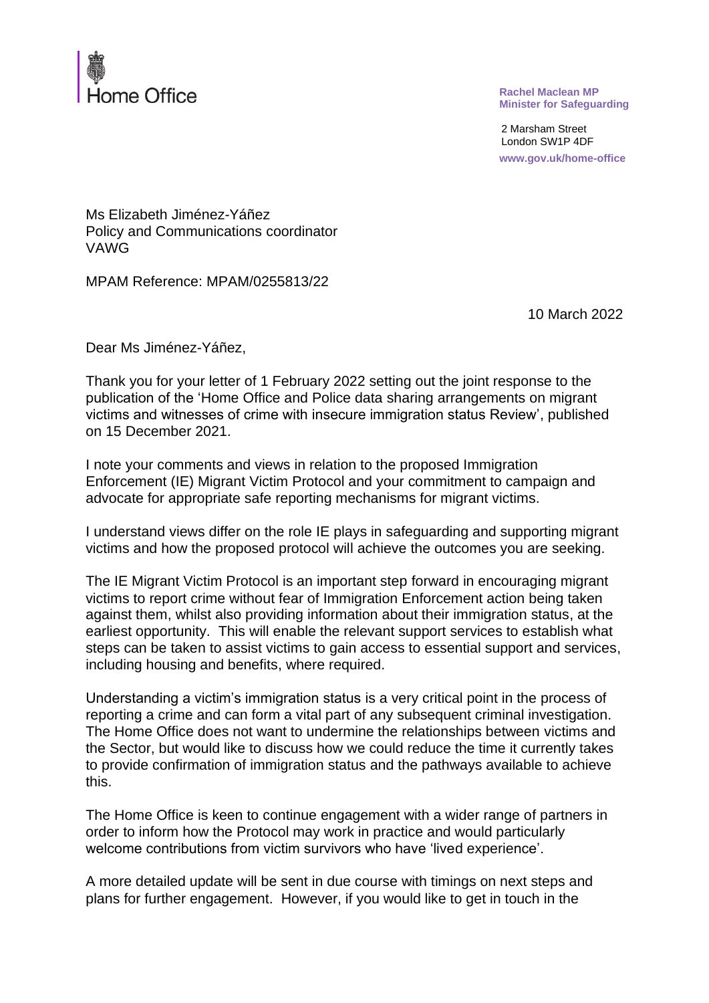

**Rachel Maclean MP Minister for Safeguarding**

2 Marsham Street London SW1P 4DF **www.gov.uk/home-office**

## Ms Elizabeth Jiménez-Yáñez Policy and Communications coordinator VAWG

MPAM Reference: MPAM/0255813/22

10 March 2022

Dear Ms Jiménez-Yáñez,

Thank you for your letter of 1 February 2022 setting out the joint response to the publication of the 'Home Office and Police data sharing arrangements on migrant victims and witnesses of crime with insecure immigration status Review', published on 15 December 2021.

I note your comments and views in relation to the proposed Immigration Enforcement (IE) Migrant Victim Protocol and your commitment to campaign and advocate for appropriate safe reporting mechanisms for migrant victims.

I understand views differ on the role IE plays in safeguarding and supporting migrant victims and how the proposed protocol will achieve the outcomes you are seeking.

The IE Migrant Victim Protocol is an important step forward in encouraging migrant victims to report crime without fear of Immigration Enforcement action being taken against them, whilst also providing information about their immigration status, at the earliest opportunity. This will enable the relevant support services to establish what steps can be taken to assist victims to gain access to essential support and services, including housing and benefits, where required.

Understanding a victim's immigration status is a very critical point in the process of reporting a crime and can form a vital part of any subsequent criminal investigation. The Home Office does not want to undermine the relationships between victims and the Sector, but would like to discuss how we could reduce the time it currently takes to provide confirmation of immigration status and the pathways available to achieve this.

The Home Office is keen to continue engagement with a wider range of partners in order to inform how the Protocol may work in practice and would particularly welcome contributions from victim survivors who have 'lived experience'.

A more detailed update will be sent in due course with timings on next steps and plans for further engagement. However, if you would like to get in touch in the